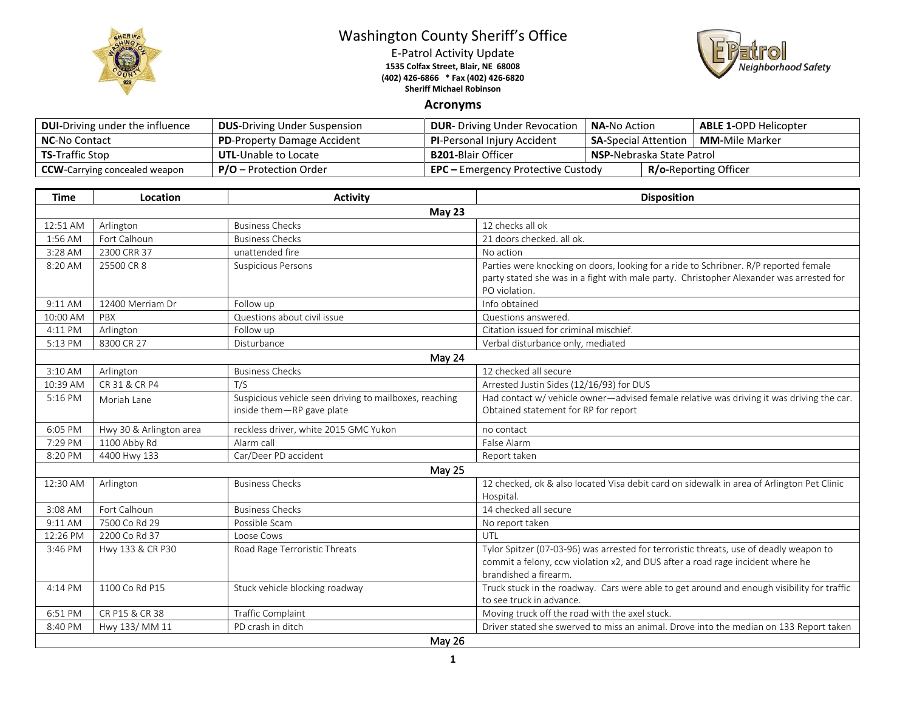

## Washington County Sheriff's Office

E-Patrol Activity Update **1535 Colfax Street, Blair, NE 68008 (402) 426-6866 \* Fax (402) 426-6820 Sheriff Michael Robinson**



## **Acronyms**

| <b>DUI-Driving under the influence</b> | <b>DUS-Driving Under Suspension</b> | <b>DUR-</b> Driving Under Revocation                                      | <b>NA-</b> No Action              |  | <b>ABLE 1-OPD Helicopter</b> |
|----------------------------------------|-------------------------------------|---------------------------------------------------------------------------|-----------------------------------|--|------------------------------|
| <b>NC-No Contact</b>                   | <b>PD-Property Damage Accident</b>  | <b>PI-Personal Injury Accident</b>                                        | <b>SA-Special Attention</b>       |  | <b>MM-</b> Mile Marker       |
| <b>TS-Traffic Stop</b>                 | <b>UTL-Unable to Locate</b>         | <b>B201-</b> Blair Officer                                                | <b>NSP-</b> Nebraska State Patrol |  |                              |
| <b>CCW</b> -Carrying concealed weapon  | <b>P/O</b> – Protection Order       | <b>R/o-Reporting Officer</b><br><b>EPC</b> – Emergency Protective Custody |                                   |  |                              |

| <b>Time</b> | Location                | <b>Activity</b>                                        | <b>Disposition</b>                                                                         |  |  |  |
|-------------|-------------------------|--------------------------------------------------------|--------------------------------------------------------------------------------------------|--|--|--|
| May 23      |                         |                                                        |                                                                                            |  |  |  |
| 12:51 AM    | Arlington               | <b>Business Checks</b>                                 | 12 checks all ok                                                                           |  |  |  |
| 1:56 AM     | Fort Calhoun            | <b>Business Checks</b>                                 | 21 doors checked, all ok.                                                                  |  |  |  |
| 3:28 AM     | 2300 CRR 37             | unattended fire                                        | No action                                                                                  |  |  |  |
| 8:20 AM     | 25500 CR 8              | <b>Suspicious Persons</b>                              | Parties were knocking on doors, looking for a ride to Schribner. R/P reported female       |  |  |  |
|             |                         |                                                        | party stated she was in a fight with male party. Christopher Alexander was arrested for    |  |  |  |
|             |                         |                                                        | PO violation.                                                                              |  |  |  |
| 9:11 AM     | 12400 Merriam Dr        | Follow up                                              | Info obtained                                                                              |  |  |  |
| 10:00 AM    | PBX                     | Questions about civil issue                            | Questions answered.                                                                        |  |  |  |
| 4:11 PM     | Arlington               | Follow up                                              | Citation issued for criminal mischief.                                                     |  |  |  |
| 5:13 PM     | 8300 CR 27              | Disturbance                                            | Verbal disturbance only, mediated                                                          |  |  |  |
| May 24      |                         |                                                        |                                                                                            |  |  |  |
| 3:10 AM     | Arlington               | <b>Business Checks</b>                                 | 12 checked all secure                                                                      |  |  |  |
| 10:39 AM    | CR 31 & CR P4           | T/S                                                    | Arrested Justin Sides (12/16/93) for DUS                                                   |  |  |  |
| 5:16 PM     | Moriah Lane             | Suspicious vehicle seen driving to mailboxes, reaching | Had contact w/ vehicle owner-advised female relative was driving it was driving the car.   |  |  |  |
|             |                         | inside them-RP gave plate                              | Obtained statement for RP for report                                                       |  |  |  |
| 6:05 PM     | Hwy 30 & Arlington area | reckless driver, white 2015 GMC Yukon                  | no contact                                                                                 |  |  |  |
| 7:29 PM     | 1100 Abby Rd            | Alarm call                                             | False Alarm                                                                                |  |  |  |
| 8:20 PM     | 4400 Hwy 133            | Car/Deer PD accident                                   | Report taken                                                                               |  |  |  |
|             |                         | May 25                                                 |                                                                                            |  |  |  |
| 12:30 AM    | Arlington               | <b>Business Checks</b>                                 | 12 checked, ok & also located Visa debit card on sidewalk in area of Arlington Pet Clinic  |  |  |  |
|             |                         |                                                        | Hospital.                                                                                  |  |  |  |
| 3:08 AM     | Fort Calhoun            | <b>Business Checks</b>                                 | 14 checked all secure                                                                      |  |  |  |
| 9:11 AM     | 7500 Co Rd 29           | Possible Scam                                          | No report taken                                                                            |  |  |  |
| 12:26 PM    | 2200 Co Rd 37           | Loose Cows                                             | UTL                                                                                        |  |  |  |
| 3:46 PM     | Hwy 133 & CR P30        | Road Rage Terroristic Threats                          | Tylor Spitzer (07-03-96) was arrested for terroristic threats, use of deadly weapon to     |  |  |  |
|             |                         |                                                        | commit a felony, ccw violation x2, and DUS after a road rage incident where he             |  |  |  |
|             |                         |                                                        | brandished a firearm.                                                                      |  |  |  |
| 4:14 PM     | 1100 Co Rd P15          | Stuck vehicle blocking roadway                         | Truck stuck in the roadway. Cars were able to get around and enough visibility for traffic |  |  |  |
|             |                         |                                                        | to see truck in advance.                                                                   |  |  |  |
| 6:51 PM     | CR P15 & CR 38          | Traffic Complaint                                      | Moving truck off the road with the axel stuck.                                             |  |  |  |
| 8:40 PM     | Hwy 133/ MM 11          | PD crash in ditch                                      | Driver stated she swerved to miss an animal. Drove into the median on 133 Report taken     |  |  |  |
| May 26      |                         |                                                        |                                                                                            |  |  |  |